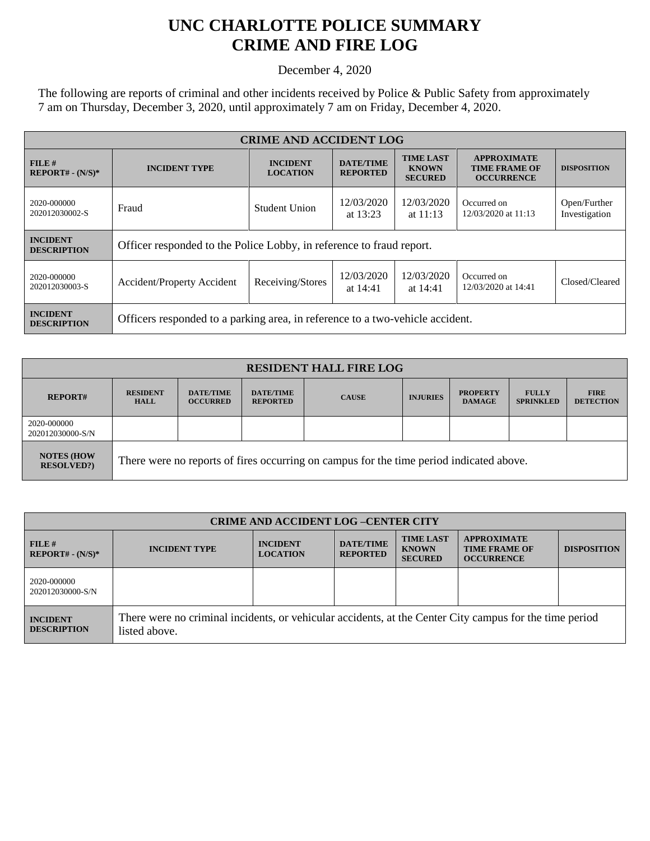## **UNC CHARLOTTE POLICE SUMMARY CRIME AND FIRE LOG**

December 4, 2020

The following are reports of criminal and other incidents received by Police & Public Safety from approximately 7 am on Thursday, December 3, 2020, until approximately 7 am on Friday, December 4, 2020.

| <b>CRIME AND ACCIDENT LOG</b>         |                                                                               |                                    |                                     |                                                    |                                                                 |                               |  |
|---------------------------------------|-------------------------------------------------------------------------------|------------------------------------|-------------------------------------|----------------------------------------------------|-----------------------------------------------------------------|-------------------------------|--|
| $FILE$ #<br>$REPORT# - (N/S)*$        | <b>INCIDENT TYPE</b>                                                          | <b>INCIDENT</b><br><b>LOCATION</b> | <b>DATE/TIME</b><br><b>REPORTED</b> | <b>TIME LAST</b><br><b>KNOWN</b><br><b>SECURED</b> | <b>APPROXIMATE</b><br><b>TIME FRAME OF</b><br><b>OCCURRENCE</b> | <b>DISPOSITION</b>            |  |
| 2020-000000<br>202012030002-S         | Fraud                                                                         | Student Union                      | 12/03/2020<br>at 13:23              | 12/03/2020<br>at $11:13$                           | Occurred on<br>12/03/2020 at 11:13                              | Open/Further<br>Investigation |  |
| <b>INCIDENT</b><br><b>DESCRIPTION</b> | Officer responded to the Police Lobby, in reference to fraud report.          |                                    |                                     |                                                    |                                                                 |                               |  |
| 2020-000000<br>202012030003-S         | Accident/Property Accident                                                    | Receiving/Stores                   | 12/03/2020<br>at 14:41              | 12/03/2020<br>at 14:41                             | Occurred on<br>12/03/2020 at 14:41                              | Closed/Cleared                |  |
| <b>INCIDENT</b><br><b>DESCRIPTION</b> | Officers responded to a parking area, in reference to a two-vehicle accident. |                                    |                                     |                                                    |                                                                 |                               |  |

| <b>RESIDENT HALL FIRE LOG</b>         |                                                                                         |                                     |                                     |              |                 |                                  |                                  |                                 |
|---------------------------------------|-----------------------------------------------------------------------------------------|-------------------------------------|-------------------------------------|--------------|-----------------|----------------------------------|----------------------------------|---------------------------------|
| <b>REPORT#</b>                        | <b>RESIDENT</b><br><b>HALL</b>                                                          | <b>DATE/TIME</b><br><b>OCCURRED</b> | <b>DATE/TIME</b><br><b>REPORTED</b> | <b>CAUSE</b> | <b>INJURIES</b> | <b>PROPERTY</b><br><b>DAMAGE</b> | <b>FULLY</b><br><b>SPRINKLED</b> | <b>FIRE</b><br><b>DETECTION</b> |
| 2020-000000<br>202012030000-S/N       |                                                                                         |                                     |                                     |              |                 |                                  |                                  |                                 |
| <b>NOTES (HOW</b><br><b>RESOLVED?</b> | There were no reports of fires occurring on campus for the time period indicated above. |                                     |                                     |              |                 |                                  |                                  |                                 |

| <b>CRIME AND ACCIDENT LOG-CENTER CITY</b> |                                                                                                                          |                                    |                                     |                                                    |                                                                 |                    |
|-------------------------------------------|--------------------------------------------------------------------------------------------------------------------------|------------------------------------|-------------------------------------|----------------------------------------------------|-----------------------------------------------------------------|--------------------|
| FILE H<br>$REPORT# - (N/S)*$              | <b>INCIDENT TYPE</b>                                                                                                     | <b>INCIDENT</b><br><b>LOCATION</b> | <b>DATE/TIME</b><br><b>REPORTED</b> | <b>TIME LAST</b><br><b>KNOWN</b><br><b>SECURED</b> | <b>APPROXIMATE</b><br><b>TIME FRAME OF</b><br><b>OCCURRENCE</b> | <b>DISPOSITION</b> |
| 2020-000000<br>202012030000-S/N           |                                                                                                                          |                                    |                                     |                                                    |                                                                 |                    |
| <b>INCIDENT</b><br><b>DESCRIPTION</b>     | There were no criminal incidents, or vehicular accidents, at the Center City campus for the time period<br>listed above. |                                    |                                     |                                                    |                                                                 |                    |